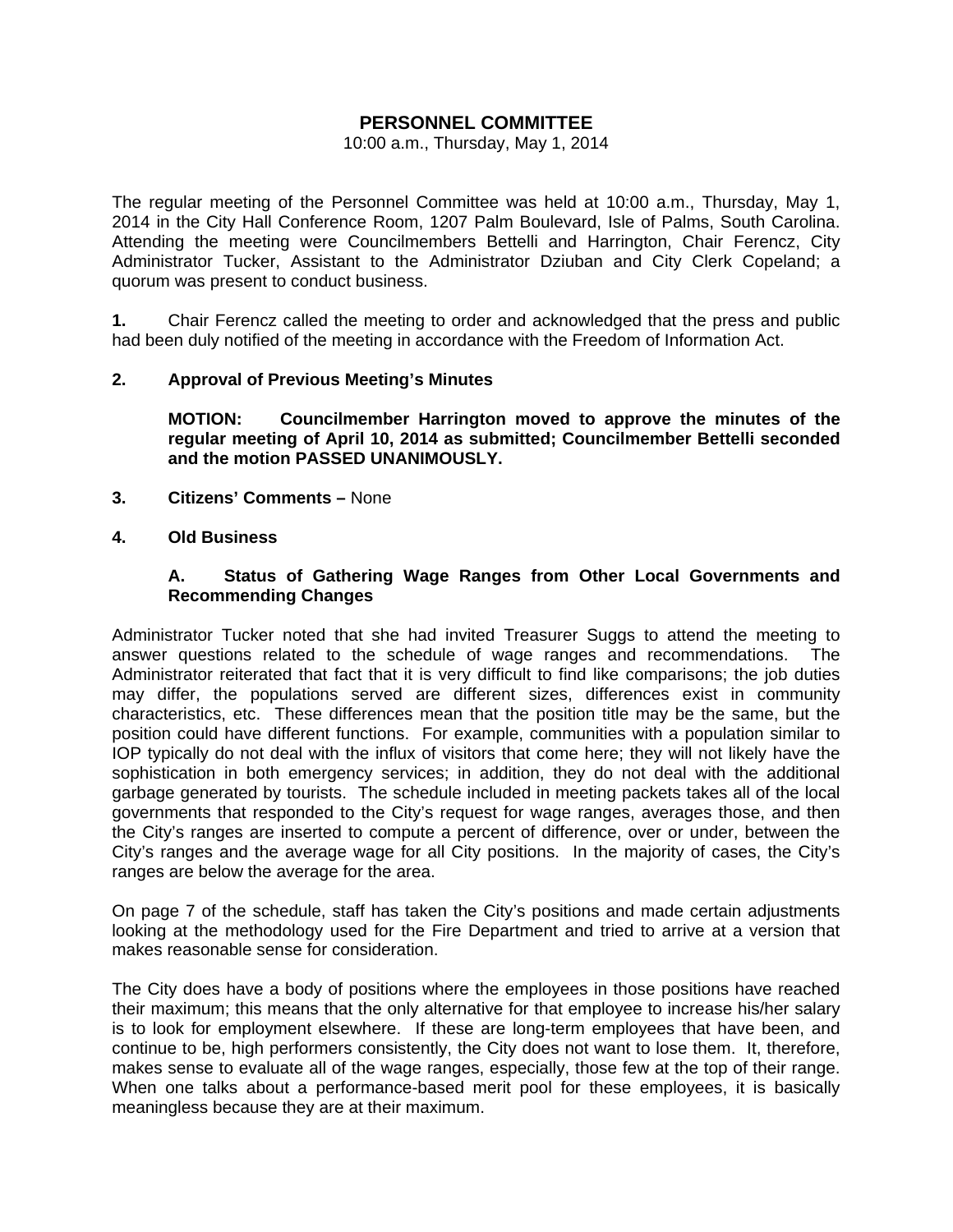## **PERSONNEL COMMITTEE**

#### 10:00 a.m., Thursday, May 1, 2014

The regular meeting of the Personnel Committee was held at 10:00 a.m., Thursday, May 1, 2014 in the City Hall Conference Room, 1207 Palm Boulevard, Isle of Palms, South Carolina. Attending the meeting were Councilmembers Bettelli and Harrington, Chair Ferencz, City Administrator Tucker, Assistant to the Administrator Dziuban and City Clerk Copeland; a quorum was present to conduct business.

**1.** Chair Ferencz called the meeting to order and acknowledged that the press and public had been duly notified of the meeting in accordance with the Freedom of Information Act.

### **2. Approval of Previous Meeting's Minutes**

 **MOTION: Councilmember Harrington moved to approve the minutes of the regular meeting of April 10, 2014 as submitted; Councilmember Bettelli seconded and the motion PASSED UNANIMOUSLY.** 

- **3. Citizens' Comments** None
- **4. Old Business**

### **A. Status of Gathering Wage Ranges from Other Local Governments and Recommending Changes**

Administrator Tucker noted that she had invited Treasurer Suggs to attend the meeting to answer questions related to the schedule of wage ranges and recommendations. The Administrator reiterated that fact that it is very difficult to find like comparisons; the job duties may differ, the populations served are different sizes, differences exist in community characteristics, etc. These differences mean that the position title may be the same, but the position could have different functions. For example, communities with a population similar to IOP typically do not deal with the influx of visitors that come here; they will not likely have the sophistication in both emergency services; in addition, they do not deal with the additional garbage generated by tourists. The schedule included in meeting packets takes all of the local governments that responded to the City's request for wage ranges, averages those, and then the City's ranges are inserted to compute a percent of difference, over or under, between the City's ranges and the average wage for all City positions. In the majority of cases, the City's ranges are below the average for the area.

On page 7 of the schedule, staff has taken the City's positions and made certain adjustments looking at the methodology used for the Fire Department and tried to arrive at a version that makes reasonable sense for consideration.

The City does have a body of positions where the employees in those positions have reached their maximum; this means that the only alternative for that employee to increase his/her salary is to look for employment elsewhere. If these are long-term employees that have been, and continue to be, high performers consistently, the City does not want to lose them. It, therefore, makes sense to evaluate all of the wage ranges, especially, those few at the top of their range. When one talks about a performance-based merit pool for these employees, it is basically meaningless because they are at their maximum.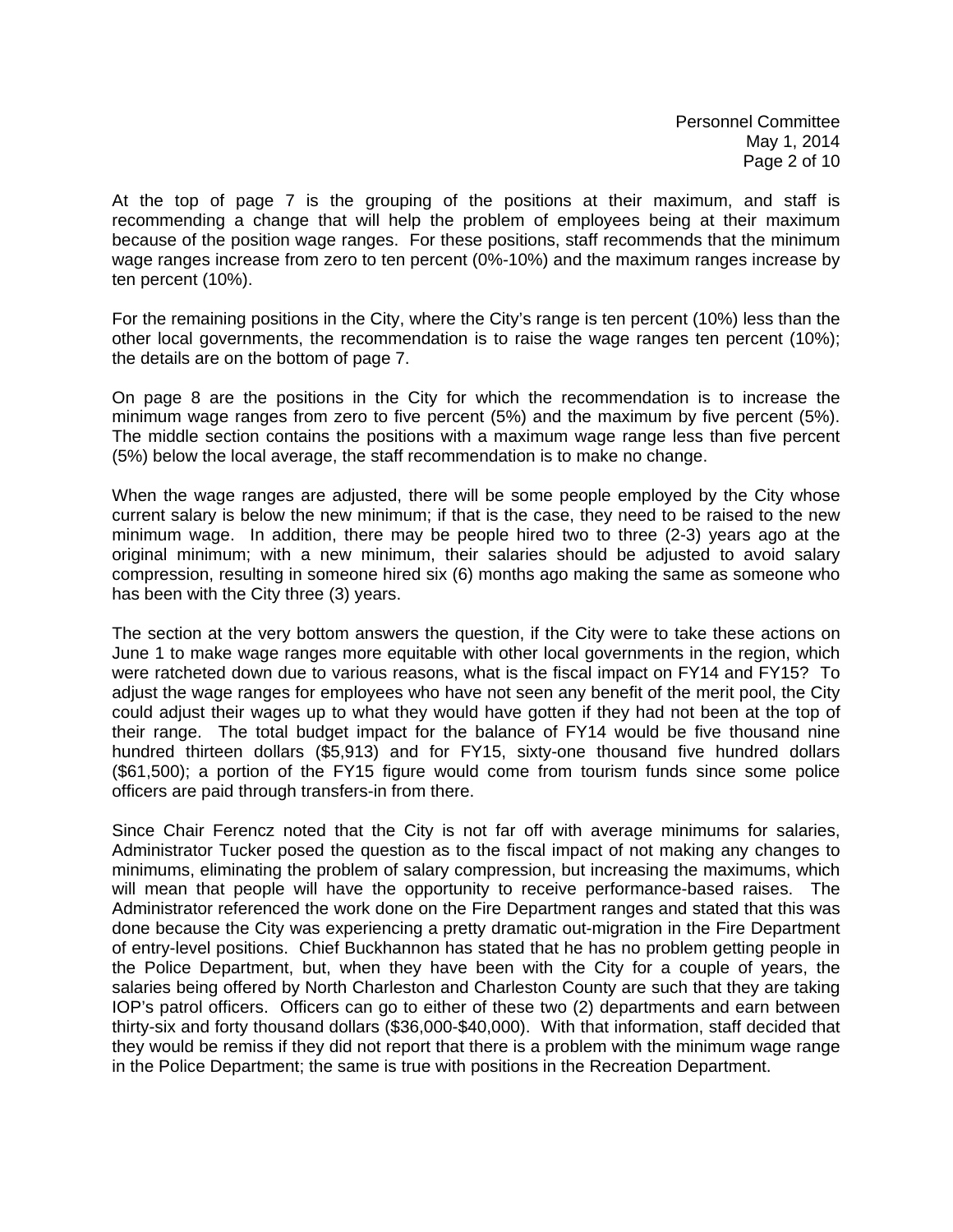At the top of page 7 is the grouping of the positions at their maximum, and staff is recommending a change that will help the problem of employees being at their maximum because of the position wage ranges. For these positions, staff recommends that the minimum wage ranges increase from zero to ten percent (0%-10%) and the maximum ranges increase by ten percent (10%).

For the remaining positions in the City, where the City's range is ten percent (10%) less than the other local governments, the recommendation is to raise the wage ranges ten percent (10%); the details are on the bottom of page 7.

On page 8 are the positions in the City for which the recommendation is to increase the minimum wage ranges from zero to five percent (5%) and the maximum by five percent (5%). The middle section contains the positions with a maximum wage range less than five percent (5%) below the local average, the staff recommendation is to make no change.

When the wage ranges are adjusted, there will be some people employed by the City whose current salary is below the new minimum; if that is the case, they need to be raised to the new minimum wage. In addition, there may be people hired two to three (2-3) years ago at the original minimum; with a new minimum, their salaries should be adjusted to avoid salary compression, resulting in someone hired six (6) months ago making the same as someone who has been with the City three (3) years.

The section at the very bottom answers the question, if the City were to take these actions on June 1 to make wage ranges more equitable with other local governments in the region, which were ratcheted down due to various reasons, what is the fiscal impact on FY14 and FY15? To adjust the wage ranges for employees who have not seen any benefit of the merit pool, the City could adjust their wages up to what they would have gotten if they had not been at the top of their range. The total budget impact for the balance of FY14 would be five thousand nine hundred thirteen dollars (\$5,913) and for FY15, sixty-one thousand five hundred dollars (\$61,500); a portion of the FY15 figure would come from tourism funds since some police officers are paid through transfers-in from there.

Since Chair Ferencz noted that the City is not far off with average minimums for salaries, Administrator Tucker posed the question as to the fiscal impact of not making any changes to minimums, eliminating the problem of salary compression, but increasing the maximums, which will mean that people will have the opportunity to receive performance-based raises. The Administrator referenced the work done on the Fire Department ranges and stated that this was done because the City was experiencing a pretty dramatic out-migration in the Fire Department of entry-level positions. Chief Buckhannon has stated that he has no problem getting people in the Police Department, but, when they have been with the City for a couple of years, the salaries being offered by North Charleston and Charleston County are such that they are taking IOP's patrol officers. Officers can go to either of these two (2) departments and earn between thirty-six and forty thousand dollars (\$36,000-\$40,000). With that information, staff decided that they would be remiss if they did not report that there is a problem with the minimum wage range in the Police Department; the same is true with positions in the Recreation Department.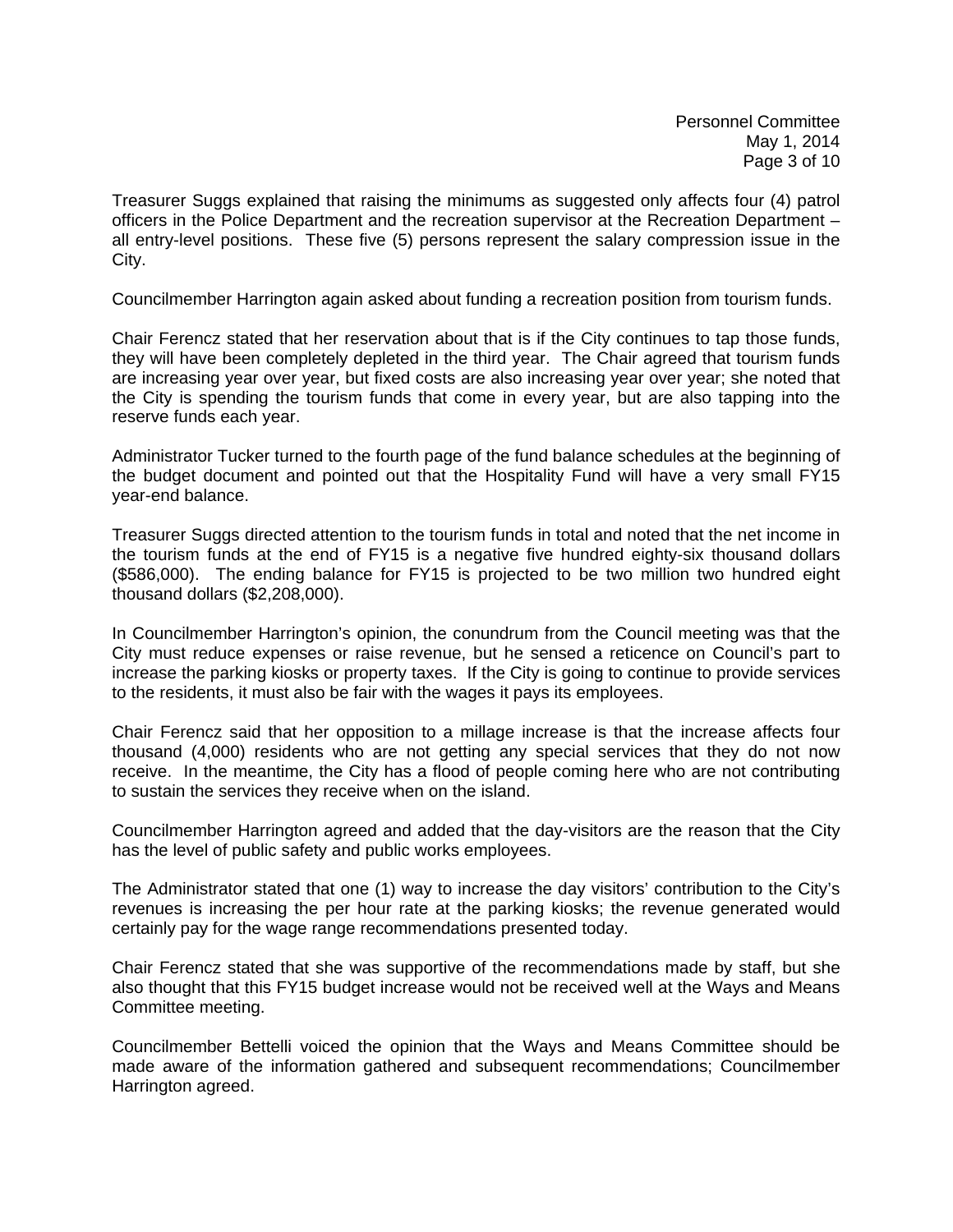Treasurer Suggs explained that raising the minimums as suggested only affects four (4) patrol officers in the Police Department and the recreation supervisor at the Recreation Department – all entry-level positions. These five (5) persons represent the salary compression issue in the City.

Councilmember Harrington again asked about funding a recreation position from tourism funds.

Chair Ferencz stated that her reservation about that is if the City continues to tap those funds, they will have been completely depleted in the third year. The Chair agreed that tourism funds are increasing year over year, but fixed costs are also increasing year over year; she noted that the City is spending the tourism funds that come in every year, but are also tapping into the reserve funds each year.

Administrator Tucker turned to the fourth page of the fund balance schedules at the beginning of the budget document and pointed out that the Hospitality Fund will have a very small FY15 year-end balance.

Treasurer Suggs directed attention to the tourism funds in total and noted that the net income in the tourism funds at the end of FY15 is a negative five hundred eighty-six thousand dollars (\$586,000). The ending balance for FY15 is projected to be two million two hundred eight thousand dollars (\$2,208,000).

In Councilmember Harrington's opinion, the conundrum from the Council meeting was that the City must reduce expenses or raise revenue, but he sensed a reticence on Council's part to increase the parking kiosks or property taxes. If the City is going to continue to provide services to the residents, it must also be fair with the wages it pays its employees.

Chair Ferencz said that her opposition to a millage increase is that the increase affects four thousand (4,000) residents who are not getting any special services that they do not now receive. In the meantime, the City has a flood of people coming here who are not contributing to sustain the services they receive when on the island.

Councilmember Harrington agreed and added that the day-visitors are the reason that the City has the level of public safety and public works employees.

The Administrator stated that one (1) way to increase the day visitors' contribution to the City's revenues is increasing the per hour rate at the parking kiosks; the revenue generated would certainly pay for the wage range recommendations presented today.

Chair Ferencz stated that she was supportive of the recommendations made by staff, but she also thought that this FY15 budget increase would not be received well at the Ways and Means Committee meeting.

Councilmember Bettelli voiced the opinion that the Ways and Means Committee should be made aware of the information gathered and subsequent recommendations; Councilmember Harrington agreed.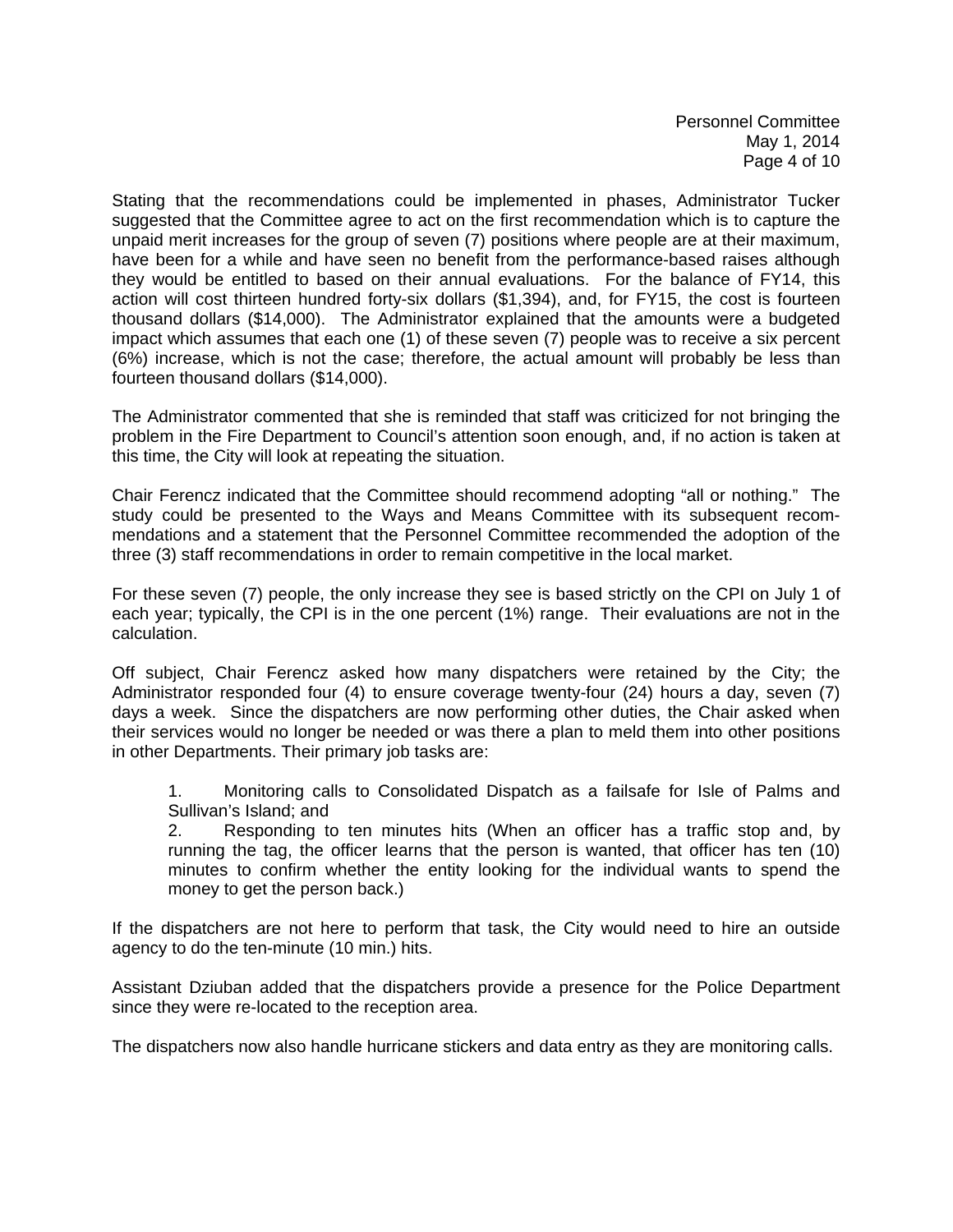Personnel Committee May 1, 2014 Page 4 of 10

Stating that the recommendations could be implemented in phases, Administrator Tucker suggested that the Committee agree to act on the first recommendation which is to capture the unpaid merit increases for the group of seven (7) positions where people are at their maximum, have been for a while and have seen no benefit from the performance-based raises although they would be entitled to based on their annual evaluations. For the balance of FY14, this action will cost thirteen hundred forty-six dollars (\$1,394), and, for FY15, the cost is fourteen thousand dollars (\$14,000). The Administrator explained that the amounts were a budgeted impact which assumes that each one (1) of these seven (7) people was to receive a six percent (6%) increase, which is not the case; therefore, the actual amount will probably be less than fourteen thousand dollars (\$14,000).

The Administrator commented that she is reminded that staff was criticized for not bringing the problem in the Fire Department to Council's attention soon enough, and, if no action is taken at this time, the City will look at repeating the situation.

Chair Ferencz indicated that the Committee should recommend adopting "all or nothing." The study could be presented to the Ways and Means Committee with its subsequent recommendations and a statement that the Personnel Committee recommended the adoption of the three (3) staff recommendations in order to remain competitive in the local market.

For these seven (7) people, the only increase they see is based strictly on the CPI on July 1 of each year; typically, the CPI is in the one percent (1%) range. Their evaluations are not in the calculation.

Off subject, Chair Ferencz asked how many dispatchers were retained by the City; the Administrator responded four (4) to ensure coverage twenty-four (24) hours a day, seven (7) days a week. Since the dispatchers are now performing other duties, the Chair asked when their services would no longer be needed or was there a plan to meld them into other positions in other Departments. Their primary job tasks are:

 1. Monitoring calls to Consolidated Dispatch as a failsafe for Isle of Palms and Sullivan's Island; and

 2. Responding to ten minutes hits (When an officer has a traffic stop and, by running the tag, the officer learns that the person is wanted, that officer has ten (10) minutes to confirm whether the entity looking for the individual wants to spend the money to get the person back.)

If the dispatchers are not here to perform that task, the City would need to hire an outside agency to do the ten-minute (10 min.) hits.

Assistant Dziuban added that the dispatchers provide a presence for the Police Department since they were re-located to the reception area.

The dispatchers now also handle hurricane stickers and data entry as they are monitoring calls.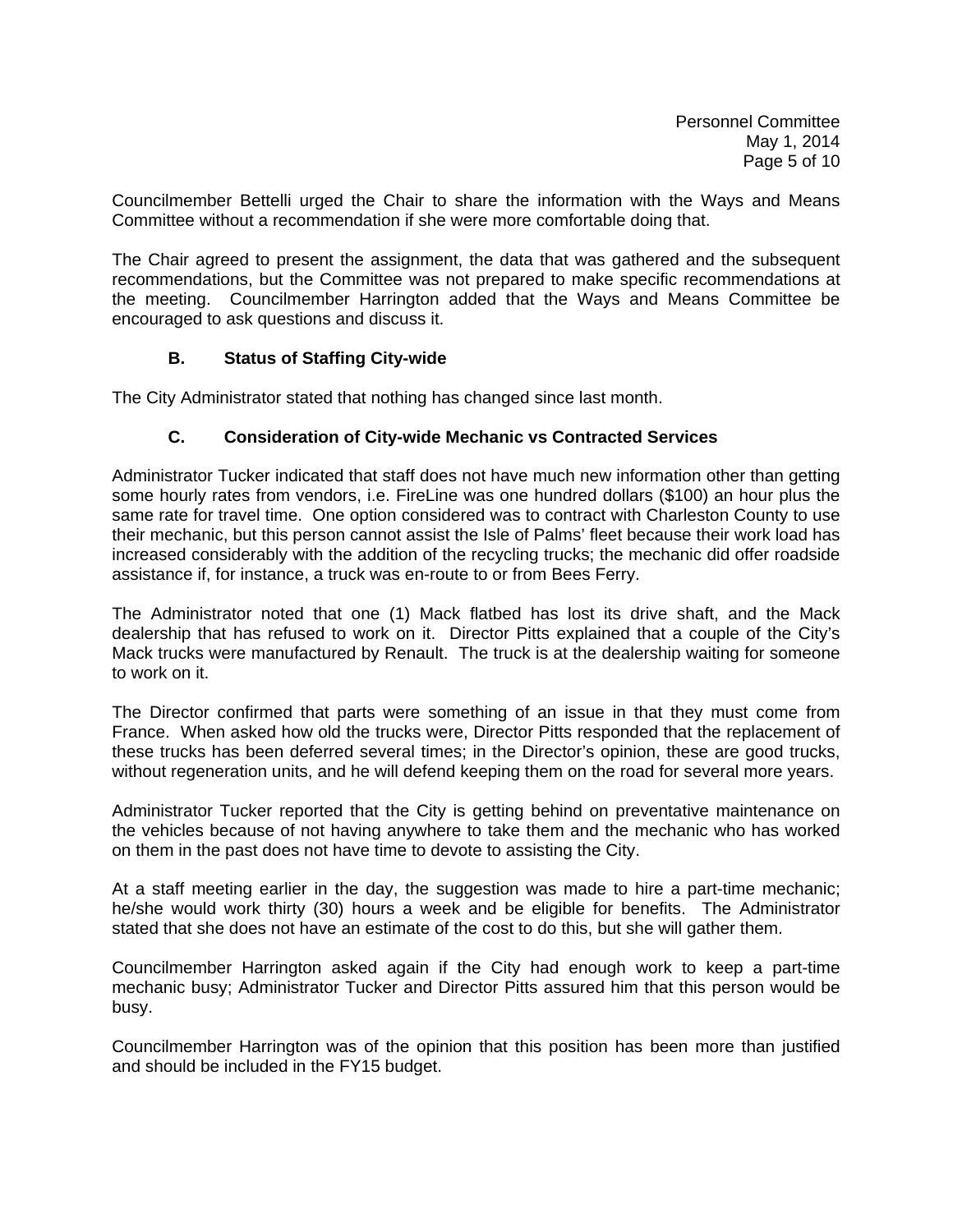Councilmember Bettelli urged the Chair to share the information with the Ways and Means Committee without a recommendation if she were more comfortable doing that.

The Chair agreed to present the assignment, the data that was gathered and the subsequent recommendations, but the Committee was not prepared to make specific recommendations at the meeting. Councilmember Harrington added that the Ways and Means Committee be encouraged to ask questions and discuss it.

### **B. Status of Staffing City-wide**

The City Administrator stated that nothing has changed since last month.

## **C. Consideration of City-wide Mechanic vs Contracted Services**

Administrator Tucker indicated that staff does not have much new information other than getting some hourly rates from vendors, i.e. FireLine was one hundred dollars (\$100) an hour plus the same rate for travel time. One option considered was to contract with Charleston County to use their mechanic, but this person cannot assist the Isle of Palms' fleet because their work load has increased considerably with the addition of the recycling trucks; the mechanic did offer roadside assistance if, for instance, a truck was en-route to or from Bees Ferry.

The Administrator noted that one (1) Mack flatbed has lost its drive shaft, and the Mack dealership that has refused to work on it. Director Pitts explained that a couple of the City's Mack trucks were manufactured by Renault. The truck is at the dealership waiting for someone to work on it.

The Director confirmed that parts were something of an issue in that they must come from France. When asked how old the trucks were, Director Pitts responded that the replacement of these trucks has been deferred several times; in the Director's opinion, these are good trucks, without regeneration units, and he will defend keeping them on the road for several more years.

Administrator Tucker reported that the City is getting behind on preventative maintenance on the vehicles because of not having anywhere to take them and the mechanic who has worked on them in the past does not have time to devote to assisting the City.

At a staff meeting earlier in the day, the suggestion was made to hire a part-time mechanic; he/she would work thirty (30) hours a week and be eligible for benefits. The Administrator stated that she does not have an estimate of the cost to do this, but she will gather them.

Councilmember Harrington asked again if the City had enough work to keep a part-time mechanic busy; Administrator Tucker and Director Pitts assured him that this person would be busy.

Councilmember Harrington was of the opinion that this position has been more than justified and should be included in the FY15 budget.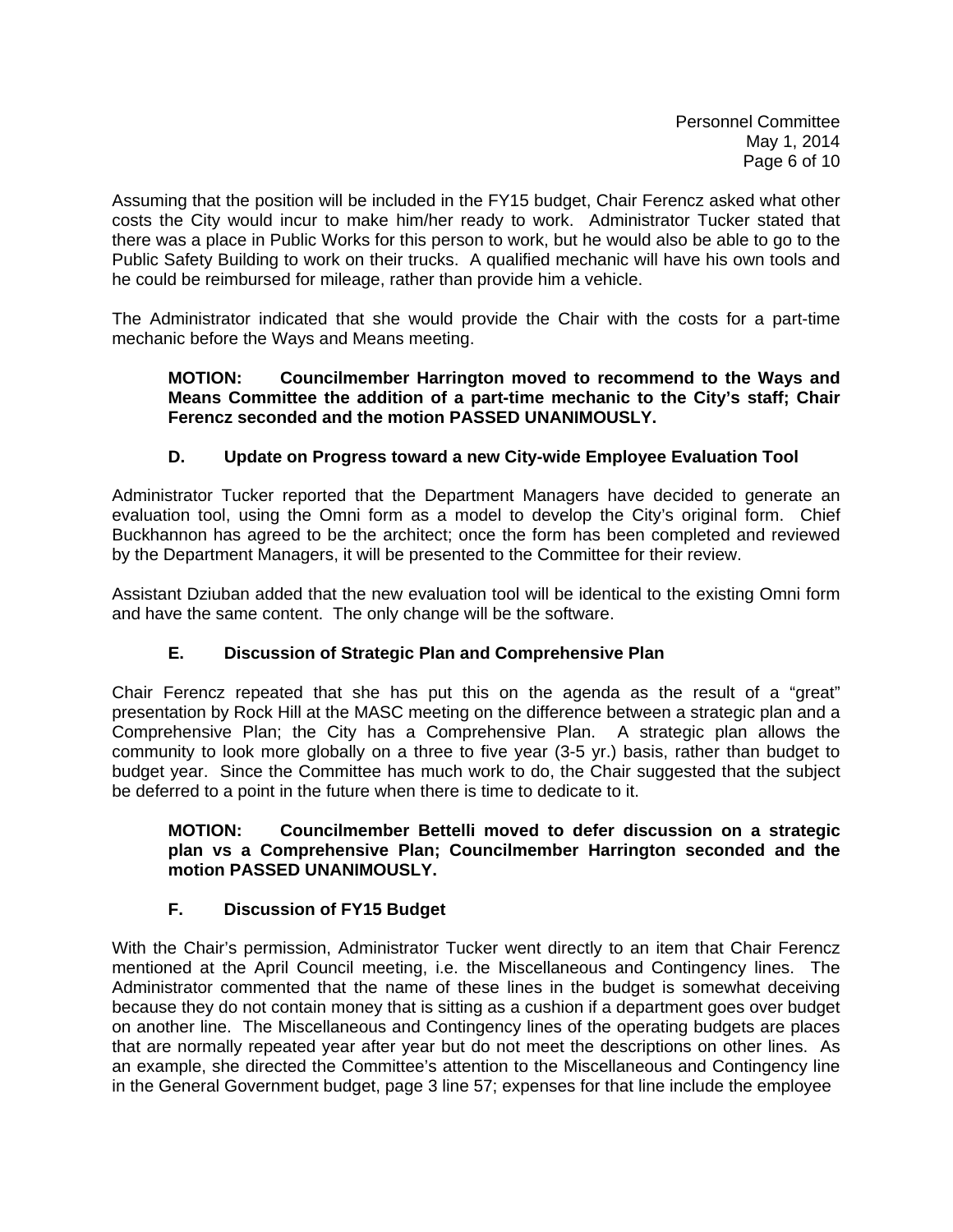Assuming that the position will be included in the FY15 budget, Chair Ferencz asked what other costs the City would incur to make him/her ready to work. Administrator Tucker stated that there was a place in Public Works for this person to work, but he would also be able to go to the Public Safety Building to work on their trucks. A qualified mechanic will have his own tools and he could be reimbursed for mileage, rather than provide him a vehicle.

The Administrator indicated that she would provide the Chair with the costs for a part-time mechanic before the Ways and Means meeting.

## **MOTION: Councilmember Harrington moved to recommend to the Ways and Means Committee the addition of a part-time mechanic to the City's staff; Chair Ferencz seconded and the motion PASSED UNANIMOUSLY.**

# **D. Update on Progress toward a new City-wide Employee Evaluation Tool**

Administrator Tucker reported that the Department Managers have decided to generate an evaluation tool, using the Omni form as a model to develop the City's original form. Chief Buckhannon has agreed to be the architect; once the form has been completed and reviewed by the Department Managers, it will be presented to the Committee for their review.

Assistant Dziuban added that the new evaluation tool will be identical to the existing Omni form and have the same content. The only change will be the software.

## **E. Discussion of Strategic Plan and Comprehensive Plan**

Chair Ferencz repeated that she has put this on the agenda as the result of a "great" presentation by Rock Hill at the MASC meeting on the difference between a strategic plan and a Comprehensive Plan; the City has a Comprehensive Plan. A strategic plan allows the community to look more globally on a three to five year (3-5 yr.) basis, rather than budget to budget year. Since the Committee has much work to do, the Chair suggested that the subject be deferred to a point in the future when there is time to dedicate to it.

## **MOTION: Councilmember Bettelli moved to defer discussion on a strategic plan vs a Comprehensive Plan; Councilmember Harrington seconded and the motion PASSED UNANIMOUSLY.**

## **F. Discussion of FY15 Budget**

With the Chair's permission, Administrator Tucker went directly to an item that Chair Ferencz mentioned at the April Council meeting, i.e. the Miscellaneous and Contingency lines. The Administrator commented that the name of these lines in the budget is somewhat deceiving because they do not contain money that is sitting as a cushion if a department goes over budget on another line. The Miscellaneous and Contingency lines of the operating budgets are places that are normally repeated year after year but do not meet the descriptions on other lines. As an example, she directed the Committee's attention to the Miscellaneous and Contingency line in the General Government budget, page 3 line 57; expenses for that line include the employee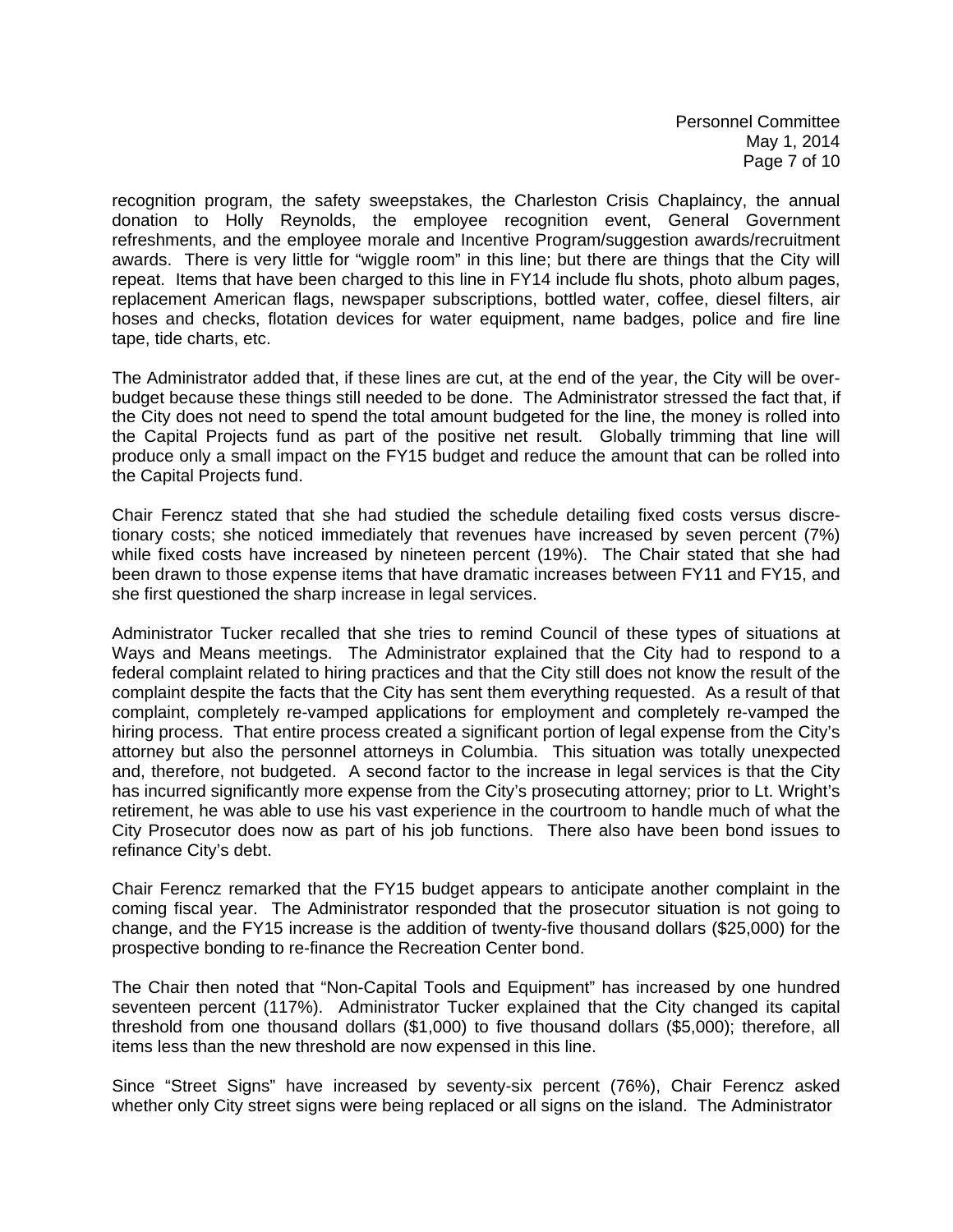Personnel Committee May 1, 2014 Page 7 of 10

recognition program, the safety sweepstakes, the Charleston Crisis Chaplaincy, the annual donation to Holly Reynolds, the employee recognition event, General Government refreshments, and the employee morale and Incentive Program/suggestion awards/recruitment awards. There is very little for "wiggle room" in this line; but there are things that the City will repeat. Items that have been charged to this line in FY14 include flu shots, photo album pages, replacement American flags, newspaper subscriptions, bottled water, coffee, diesel filters, air hoses and checks, flotation devices for water equipment, name badges, police and fire line tape, tide charts, etc.

The Administrator added that, if these lines are cut, at the end of the year, the City will be overbudget because these things still needed to be done. The Administrator stressed the fact that, if the City does not need to spend the total amount budgeted for the line, the money is rolled into the Capital Projects fund as part of the positive net result. Globally trimming that line will produce only a small impact on the FY15 budget and reduce the amount that can be rolled into the Capital Projects fund.

Chair Ferencz stated that she had studied the schedule detailing fixed costs versus discretionary costs; she noticed immediately that revenues have increased by seven percent (7%) while fixed costs have increased by nineteen percent (19%). The Chair stated that she had been drawn to those expense items that have dramatic increases between FY11 and FY15, and she first questioned the sharp increase in legal services.

Administrator Tucker recalled that she tries to remind Council of these types of situations at Ways and Means meetings. The Administrator explained that the City had to respond to a federal complaint related to hiring practices and that the City still does not know the result of the complaint despite the facts that the City has sent them everything requested. As a result of that complaint, completely re-vamped applications for employment and completely re-vamped the hiring process. That entire process created a significant portion of legal expense from the City's attorney but also the personnel attorneys in Columbia. This situation was totally unexpected and, therefore, not budgeted. A second factor to the increase in legal services is that the City has incurred significantly more expense from the City's prosecuting attorney; prior to Lt. Wright's retirement, he was able to use his vast experience in the courtroom to handle much of what the City Prosecutor does now as part of his job functions. There also have been bond issues to refinance City's debt.

Chair Ferencz remarked that the FY15 budget appears to anticipate another complaint in the coming fiscal year. The Administrator responded that the prosecutor situation is not going to change, and the FY15 increase is the addition of twenty-five thousand dollars (\$25,000) for the prospective bonding to re-finance the Recreation Center bond.

The Chair then noted that "Non-Capital Tools and Equipment" has increased by one hundred seventeen percent (117%). Administrator Tucker explained that the City changed its capital threshold from one thousand dollars (\$1,000) to five thousand dollars (\$5,000); therefore, all items less than the new threshold are now expensed in this line.

Since "Street Signs" have increased by seventy-six percent (76%), Chair Ferencz asked whether only City street signs were being replaced or all signs on the island. The Administrator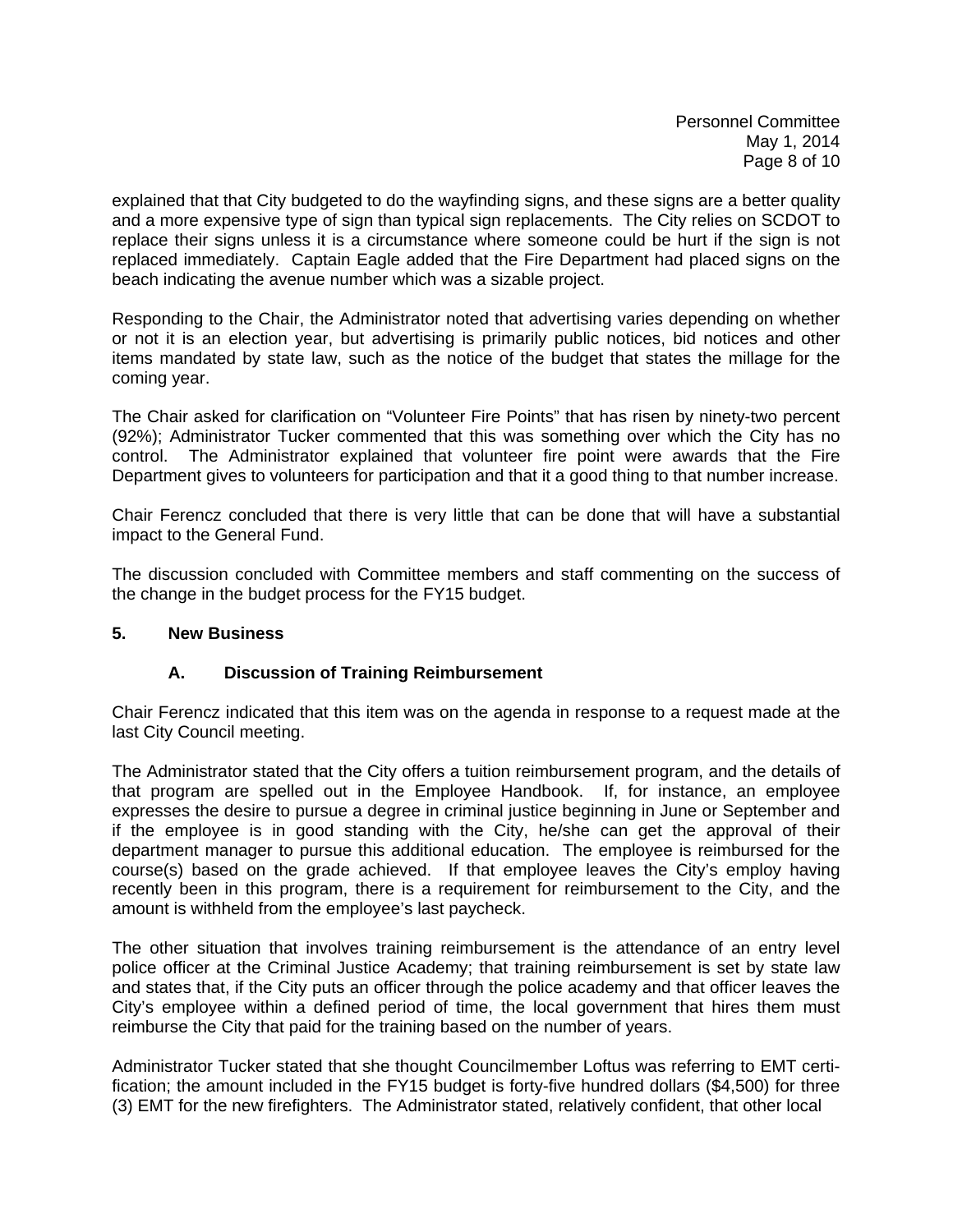explained that that City budgeted to do the wayfinding signs, and these signs are a better quality and a more expensive type of sign than typical sign replacements. The City relies on SCDOT to replace their signs unless it is a circumstance where someone could be hurt if the sign is not replaced immediately. Captain Eagle added that the Fire Department had placed signs on the beach indicating the avenue number which was a sizable project.

Responding to the Chair, the Administrator noted that advertising varies depending on whether or not it is an election year, but advertising is primarily public notices, bid notices and other items mandated by state law, such as the notice of the budget that states the millage for the coming year.

The Chair asked for clarification on "Volunteer Fire Points" that has risen by ninety-two percent (92%); Administrator Tucker commented that this was something over which the City has no control. The Administrator explained that volunteer fire point were awards that the Fire Department gives to volunteers for participation and that it a good thing to that number increase.

Chair Ferencz concluded that there is very little that can be done that will have a substantial impact to the General Fund.

The discussion concluded with Committee members and staff commenting on the success of the change in the budget process for the FY15 budget.

## **5. New Business**

## **A. Discussion of Training Reimbursement**

Chair Ferencz indicated that this item was on the agenda in response to a request made at the last City Council meeting.

The Administrator stated that the City offers a tuition reimbursement program, and the details of that program are spelled out in the Employee Handbook. If, for instance, an employee expresses the desire to pursue a degree in criminal justice beginning in June or September and if the employee is in good standing with the City, he/she can get the approval of their department manager to pursue this additional education. The employee is reimbursed for the course(s) based on the grade achieved. If that employee leaves the City's employ having recently been in this program, there is a requirement for reimbursement to the City, and the amount is withheld from the employee's last paycheck.

The other situation that involves training reimbursement is the attendance of an entry level police officer at the Criminal Justice Academy; that training reimbursement is set by state law and states that, if the City puts an officer through the police academy and that officer leaves the City's employee within a defined period of time, the local government that hires them must reimburse the City that paid for the training based on the number of years.

Administrator Tucker stated that she thought Councilmember Loftus was referring to EMT certification; the amount included in the FY15 budget is forty-five hundred dollars (\$4,500) for three (3) EMT for the new firefighters. The Administrator stated, relatively confident, that other local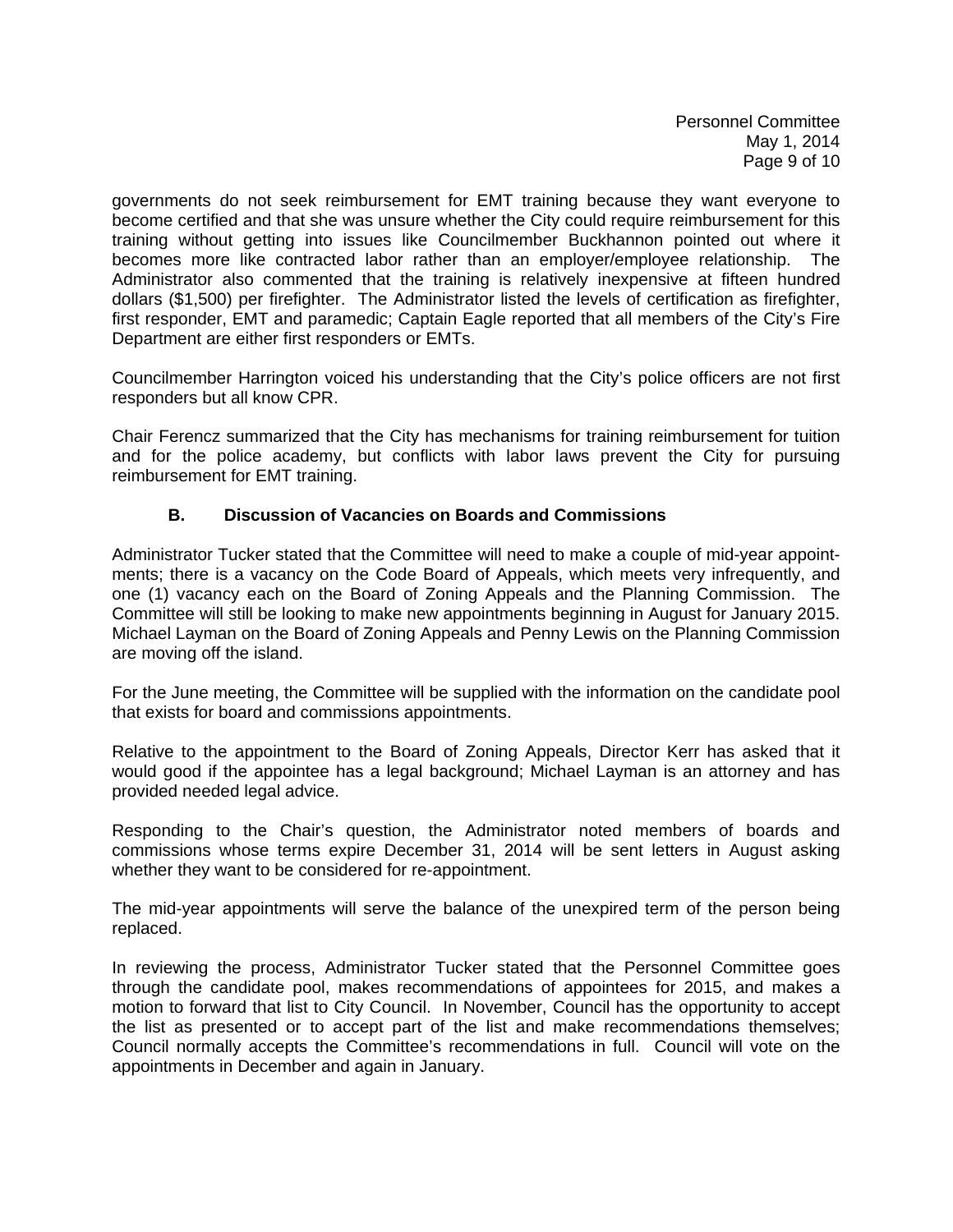Personnel Committee May 1, 2014 Page 9 of 10

governments do not seek reimbursement for EMT training because they want everyone to become certified and that she was unsure whether the City could require reimbursement for this training without getting into issues like Councilmember Buckhannon pointed out where it becomes more like contracted labor rather than an employer/employee relationship. The Administrator also commented that the training is relatively inexpensive at fifteen hundred dollars (\$1,500) per firefighter. The Administrator listed the levels of certification as firefighter, first responder, EMT and paramedic; Captain Eagle reported that all members of the City's Fire Department are either first responders or EMTs.

Councilmember Harrington voiced his understanding that the City's police officers are not first responders but all know CPR.

Chair Ferencz summarized that the City has mechanisms for training reimbursement for tuition and for the police academy, but conflicts with labor laws prevent the City for pursuing reimbursement for EMT training.

### **B. Discussion of Vacancies on Boards and Commissions**

Administrator Tucker stated that the Committee will need to make a couple of mid-year appointments; there is a vacancy on the Code Board of Appeals, which meets very infrequently, and one (1) vacancy each on the Board of Zoning Appeals and the Planning Commission. The Committee will still be looking to make new appointments beginning in August for January 2015. Michael Layman on the Board of Zoning Appeals and Penny Lewis on the Planning Commission are moving off the island.

For the June meeting, the Committee will be supplied with the information on the candidate pool that exists for board and commissions appointments.

Relative to the appointment to the Board of Zoning Appeals, Director Kerr has asked that it would good if the appointee has a legal background; Michael Layman is an attorney and has provided needed legal advice.

Responding to the Chair's question, the Administrator noted members of boards and commissions whose terms expire December 31, 2014 will be sent letters in August asking whether they want to be considered for re-appointment.

The mid-year appointments will serve the balance of the unexpired term of the person being replaced.

In reviewing the process, Administrator Tucker stated that the Personnel Committee goes through the candidate pool, makes recommendations of appointees for 2015, and makes a motion to forward that list to City Council. In November, Council has the opportunity to accept the list as presented or to accept part of the list and make recommendations themselves; Council normally accepts the Committee's recommendations in full. Council will vote on the appointments in December and again in January.